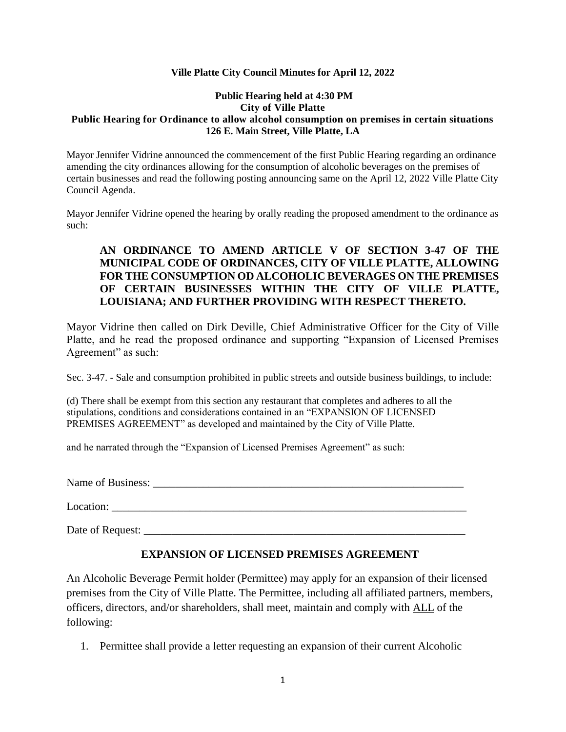# **Ville Platte City Council Minutes for April 12, 2022**

### **Public Hearing held at 4:30 PM City of Ville Platte Public Hearing for Ordinance to allow alcohol consumption on premises in certain situations 126 E. Main Street, Ville Platte, LA**

Mayor Jennifer Vidrine announced the commencement of the first Public Hearing regarding an ordinance amending the city ordinances allowing for the consumption of alcoholic beverages on the premises of certain businesses and read the following posting announcing same on the April 12, 2022 Ville Platte City Council Agenda.

Mayor Jennifer Vidrine opened the hearing by orally reading the proposed amendment to the ordinance as such:

# **AN ORDINANCE TO AMEND ARTICLE V OF SECTION 3-47 OF THE MUNICIPAL CODE OF ORDINANCES, CITY OF VILLE PLATTE, ALLOWING FOR THE CONSUMPTION OD ALCOHOLIC BEVERAGES ON THE PREMISES OF CERTAIN BUSINESSES WITHIN THE CITY OF VILLE PLATTE, LOUISIANA; AND FURTHER PROVIDING WITH RESPECT THERETO.**

Mayor Vidrine then called on Dirk Deville, Chief Administrative Officer for the City of Ville Platte, and he read the proposed ordinance and supporting "Expansion of Licensed Premises Agreement" as such:

Sec. 3-47. - Sale and consumption prohibited in public streets and outside business buildings, to include:

(d) There shall be exempt from this section any restaurant that completes and adheres to all the stipulations, conditions and considerations contained in an "EXPANSION OF LICENSED PREMISES AGREEMENT" as developed and maintained by the City of Ville Platte.

and he narrated through the "Expansion of Licensed Premises Agreement" as such:

Name of Business:

Location:

Date of Request:

# **EXPANSION OF LICENSED PREMISES AGREEMENT**

An Alcoholic Beverage Permit holder (Permittee) may apply for an expansion of their licensed premises from the City of Ville Platte. The Permittee, including all affiliated partners, members, officers, directors, and/or shareholders, shall meet, maintain and comply with ALL of the following:

1. Permittee shall provide a letter requesting an expansion of their current Alcoholic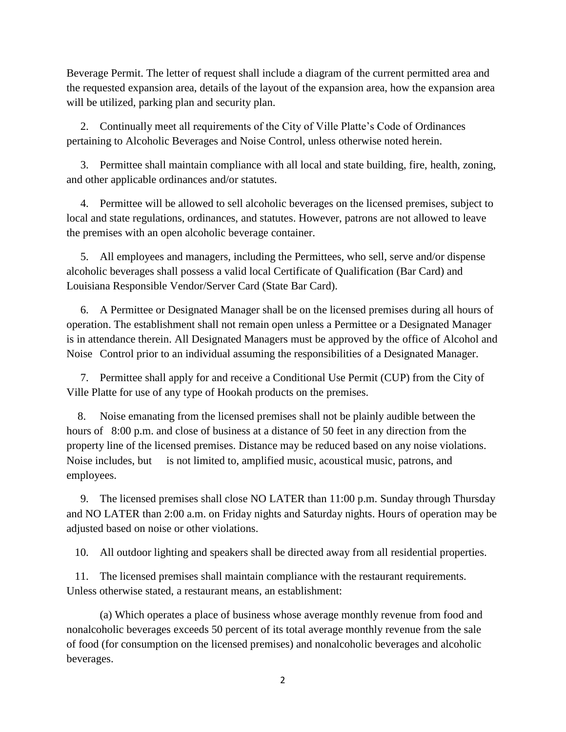Beverage Permit. The letter of request shall include a diagram of the current permitted area and the requested expansion area, details of the layout of the expansion area, how the expansion area will be utilized, parking plan and security plan.

 2. Continually meet all requirements of the City of Ville Platte's Code of Ordinances pertaining to Alcoholic Beverages and Noise Control, unless otherwise noted herein.

 3. Permittee shall maintain compliance with all local and state building, fire, health, zoning, and other applicable ordinances and/or statutes.

 4. Permittee will be allowed to sell alcoholic beverages on the licensed premises, subject to local and state regulations, ordinances, and statutes. However, patrons are not allowed to leave the premises with an open alcoholic beverage container.

 5. All employees and managers, including the Permittees, who sell, serve and/or dispense alcoholic beverages shall possess a valid local Certificate of Qualification (Bar Card) and Louisiana Responsible Vendor/Server Card (State Bar Card).

 6. A Permittee or Designated Manager shall be on the licensed premises during all hours of operation. The establishment shall not remain open unless a Permittee or a Designated Manager is in attendance therein. All Designated Managers must be approved by the office of Alcohol and Noise Control prior to an individual assuming the responsibilities of a Designated Manager.

 7. Permittee shall apply for and receive a Conditional Use Permit (CUP) from the City of Ville Platte for use of any type of Hookah products on the premises.

 8. Noise emanating from the licensed premises shall not be plainly audible between the hours of 8:00 p.m. and close of business at a distance of 50 feet in any direction from the property line of the licensed premises. Distance may be reduced based on any noise violations. Noise includes, but is not limited to, amplified music, acoustical music, patrons, and employees.

 9. The licensed premises shall close NO LATER than 11:00 p.m. Sunday through Thursday and NO LATER than 2:00 a.m. on Friday nights and Saturday nights. Hours of operation may be adjusted based on noise or other violations.

10. All outdoor lighting and speakers shall be directed away from all residential properties.

 11. The licensed premises shall maintain compliance with the restaurant requirements. Unless otherwise stated, a restaurant means, an establishment:

(a) Which operates a place of business whose average monthly revenue from food and nonalcoholic beverages exceeds 50 percent of its total average monthly revenue from the sale of food (for consumption on the licensed premises) and nonalcoholic beverages and alcoholic beverages.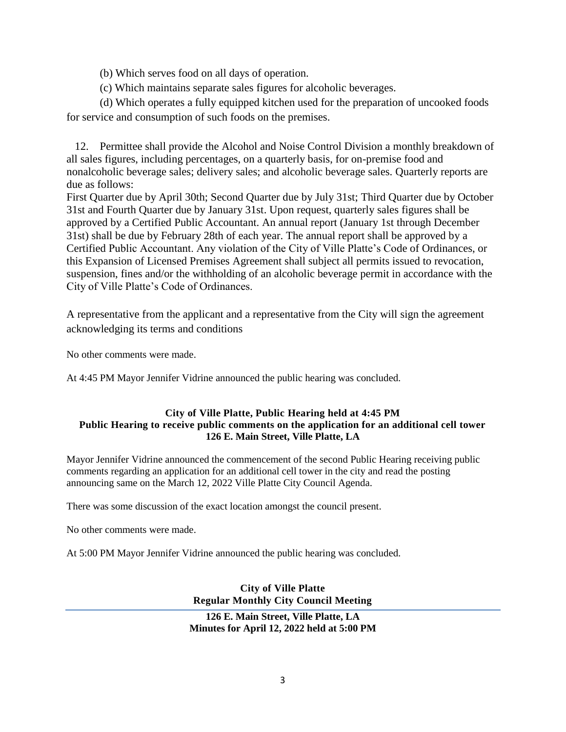- (b) Which serves food on all days of operation.
- (c) Which maintains separate sales figures for alcoholic beverages.

(d) Which operates a fully equipped kitchen used for the preparation of uncooked foods for service and consumption of such foods on the premises.

 12. Permittee shall provide the Alcohol and Noise Control Division a monthly breakdown of all sales figures, including percentages, on a quarterly basis, for on-premise food and nonalcoholic beverage sales; delivery sales; and alcoholic beverage sales. Quarterly reports are due as follows:

First Quarter due by April 30th; Second Quarter due by July 31st; Third Quarter due by October 31st and Fourth Quarter due by January 31st. Upon request, quarterly sales figures shall be approved by a Certified Public Accountant. An annual report (January 1st through December 31st) shall be due by February 28th of each year. The annual report shall be approved by a Certified Public Accountant. Any violation of the City of Ville Platte's Code of Ordinances, or this Expansion of Licensed Premises Agreement shall subject all permits issued to revocation, suspension, fines and/or the withholding of an alcoholic beverage permit in accordance with the City of Ville Platte's Code of Ordinances.

A representative from the applicant and a representative from the City will sign the agreement acknowledging its terms and conditions

No other comments were made.

At 4:45 PM Mayor Jennifer Vidrine announced the public hearing was concluded.

# **City of Ville Platte, Public Hearing held at 4:45 PM Public Hearing to receive public comments on the application for an additional cell tower 126 E. Main Street, Ville Platte, LA**

Mayor Jennifer Vidrine announced the commencement of the second Public Hearing receiving public comments regarding an application for an additional cell tower in the city and read the posting announcing same on the March 12, 2022 Ville Platte City Council Agenda.

There was some discussion of the exact location amongst the council present.

No other comments were made.

At 5:00 PM Mayor Jennifer Vidrine announced the public hearing was concluded.

**City of Ville Platte Regular Monthly City Council Meeting** 

**126 E. Main Street, Ville Platte, LA Minutes for April 12, 2022 held at 5:00 PM**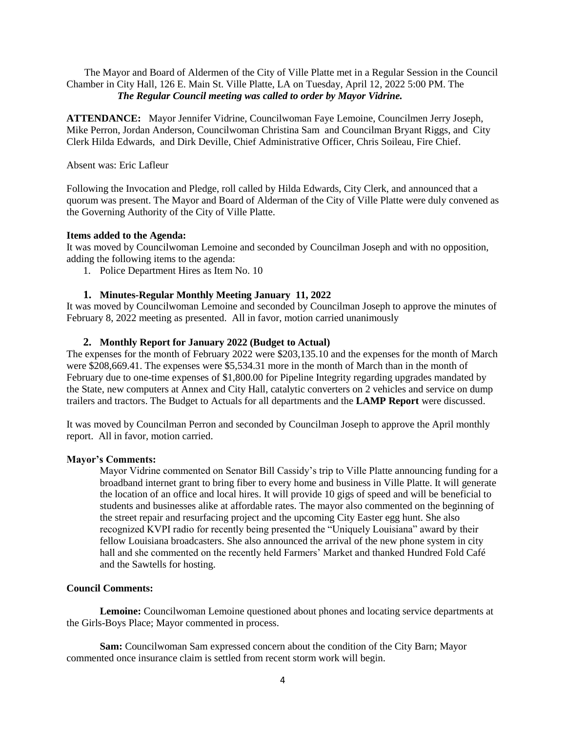The Mayor and Board of Aldermen of the City of Ville Platte met in a Regular Session in the Council Chamber in City Hall, 126 E. Main St. Ville Platte, LA on Tuesday, April 12, 2022 5:00 PM. The  *The Regular Council meeting was called to order by Mayor Vidrine.*

**ATTENDANCE:** Mayor Jennifer Vidrine, Councilwoman Faye Lemoine, Councilmen Jerry Joseph, Mike Perron, Jordan Anderson, Councilwoman Christina Sam and Councilman Bryant Riggs, and City Clerk Hilda Edwards, and Dirk Deville, Chief Administrative Officer, Chris Soileau, Fire Chief.

Absent was: Eric Lafleur

Following the Invocation and Pledge, roll called by Hilda Edwards, City Clerk, and announced that a quorum was present. The Mayor and Board of Alderman of the City of Ville Platte were duly convened as the Governing Authority of the City of Ville Platte.

#### **Items added to the Agenda:**

It was moved by Councilwoman Lemoine and seconded by Councilman Joseph and with no opposition, adding the following items to the agenda:

1. Police Department Hires as Item No. 10

# **1. Minutes-Regular Monthly Meeting January 11, 2022**

It was moved by Councilwoman Lemoine and seconded by Councilman Joseph to approve the minutes of February 8, 2022 meeting as presented. All in favor, motion carried unanimously

# **2. Monthly Report for January 2022 (Budget to Actual)**

The expenses for the month of February 2022 were \$203,135.10 and the expenses for the month of March were \$208,669.41. The expenses were \$5,534.31 more in the month of March than in the month of February due to one-time expenses of \$1,800.00 for Pipeline Integrity regarding upgrades mandated by the State, new computers at Annex and City Hall, catalytic converters on 2 vehicles and service on dump trailers and tractors. The Budget to Actuals for all departments and the **LAMP Report** were discussed.

It was moved by Councilman Perron and seconded by Councilman Joseph to approve the April monthly report. All in favor, motion carried.

#### **Mayor's Comments:**

Mayor Vidrine commented on Senator Bill Cassidy's trip to Ville Platte announcing funding for a broadband internet grant to bring fiber to every home and business in Ville Platte. It will generate the location of an office and local hires. It will provide 10 gigs of speed and will be beneficial to students and businesses alike at affordable rates. The mayor also commented on the beginning of the street repair and resurfacing project and the upcoming City Easter egg hunt. She also recognized KVPI radio for recently being presented the "Uniquely Louisiana" award by their fellow Louisiana broadcasters. She also announced the arrival of the new phone system in city hall and she commented on the recently held Farmers' Market and thanked Hundred Fold Café and the Sawtells for hosting.

#### **Council Comments:**

**Lemoine:** Councilwoman Lemoine questioned about phones and locating service departments at the Girls-Boys Place; Mayor commented in process.

**Sam:** Councilwoman Sam expressed concern about the condition of the City Barn; Mayor commented once insurance claim is settled from recent storm work will begin.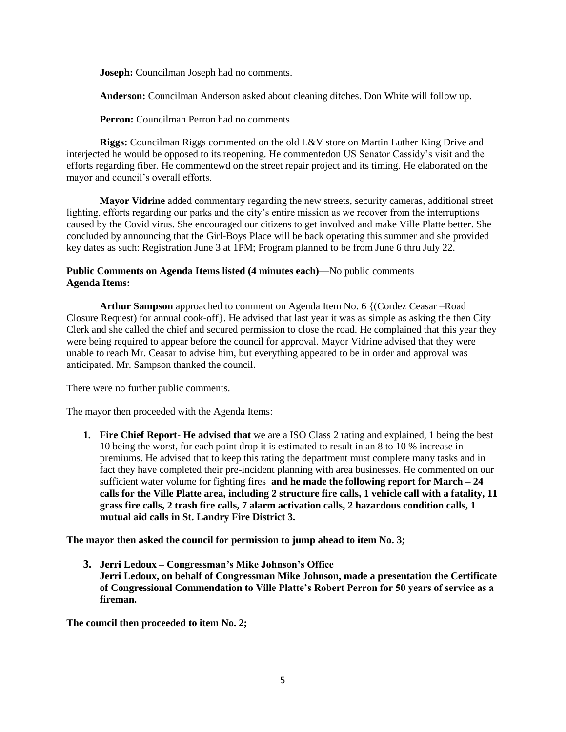**Joseph:** Councilman Joseph had no comments.

**Anderson:** Councilman Anderson asked about cleaning ditches. Don White will follow up.

**Perron:** Councilman Perron had no comments

**Riggs:** Councilman Riggs commented on the old L&V store on Martin Luther King Drive and interjected he would be opposed to its reopening. He commentedon US Senator Cassidy's visit and the efforts regarding fiber. He commentewd on the street repair project and its timing. He elaborated on the mayor and council's overall efforts.

**Mayor Vidrine** added commentary regarding the new streets, security cameras, additional street lighting, efforts regarding our parks and the city's entire mission as we recover from the interruptions caused by the Covid virus. She encouraged our citizens to get involved and make Ville Platte better. She concluded by announcing that the Girl-Boys Place will be back operating this summer and she provided key dates as such: Registration June 3 at 1PM; Program planned to be from June 6 thru July 22.

# **Public Comments on Agenda Items listed (4 minutes each)—**No public comments **Agenda Items:**

**Arthur Sampson** approached to comment on Agenda Item No. 6 {(Cordez Ceasar –Road Closure Request) for annual cook-off}. He advised that last year it was as simple as asking the then City Clerk and she called the chief and secured permission to close the road. He complained that this year they were being required to appear before the council for approval. Mayor Vidrine advised that they were unable to reach Mr. Ceasar to advise him, but everything appeared to be in order and approval was anticipated. Mr. Sampson thanked the council.

There were no further public comments.

The mayor then proceeded with the Agenda Items:

**1. Fire Chief Report- He advised that** we are a ISO Class 2 rating and explained, 1 being the best 10 being the worst, for each point drop it is estimated to result in an 8 to 10 % increase in premiums. He advised that to keep this rating the department must complete many tasks and in fact they have completed their pre-incident planning with area businesses. He commented on our sufficient water volume for fighting fires **and he made the following report for March – 24 calls for the Ville Platte area, including 2 structure fire calls, 1 vehicle call with a fatality, 11 grass fire calls, 2 trash fire calls, 7 alarm activation calls, 2 hazardous condition calls, 1 mutual aid calls in St. Landry Fire District 3.**

**The mayor then asked the council for permission to jump ahead to item No. 3;**

**3. Jerri Ledoux – Congressman's Mike Johnson's Office Jerri Ledoux, on behalf of Congressman Mike Johnson, made a presentation the Certificate of Congressional Commendation to Ville Platte's Robert Perron for 50 years of service as a fireman.**

**The council then proceeded to item No. 2;**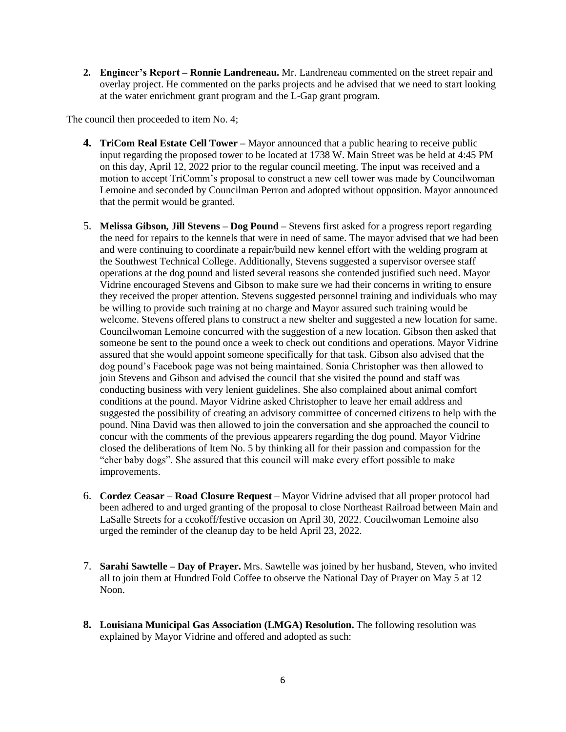**2. Engineer's Report – Ronnie Landreneau.** Mr. Landreneau commented on the street repair and overlay project. He commented on the parks projects and he advised that we need to start looking at the water enrichment grant program and the L-Gap grant program.

The council then proceeded to item No. 4;

- **4. TriCom Real Estate Cell Tower –** Mayor announced that a public hearing to receive public input regarding the proposed tower to be located at 1738 W. Main Street was be held at 4:45 PM on this day, April 12, 2022 prior to the regular council meeting. The input was received and a motion to accept TriComm's proposal to construct a new cell tower was made by Councilwoman Lemoine and seconded by Councilman Perron and adopted without opposition. Mayor announced that the permit would be granted.
- 5. **Melissa Gibson, Jill Stevens – Dog Pound –** Stevens first asked for a progress report regarding the need for repairs to the kennels that were in need of same. The mayor advised that we had been and were continuing to coordinate a repair/build new kennel effort with the welding program at the Southwest Technical College. Additionally, Stevens suggested a supervisor oversee staff operations at the dog pound and listed several reasons she contended justified such need. Mayor Vidrine encouraged Stevens and Gibson to make sure we had their concerns in writing to ensure they received the proper attention. Stevens suggested personnel training and individuals who may be willing to provide such training at no charge and Mayor assured such training would be welcome. Stevens offered plans to construct a new shelter and suggested a new location for same. Councilwoman Lemoine concurred with the suggestion of a new location. Gibson then asked that someone be sent to the pound once a week to check out conditions and operations. Mayor Vidrine assured that she would appoint someone specifically for that task. Gibson also advised that the dog pound's Facebook page was not being maintained. Sonia Christopher was then allowed to join Stevens and Gibson and advised the council that she visited the pound and staff was conducting business with very lenient guidelines. She also complained about animal comfort conditions at the pound. Mayor Vidrine asked Christopher to leave her email address and suggested the possibility of creating an advisory committee of concerned citizens to help with the pound. Nina David was then allowed to join the conversation and she approached the council to concur with the comments of the previous appearers regarding the dog pound. Mayor Vidrine closed the deliberations of Item No. 5 by thinking all for their passion and compassion for the "cher baby dogs". She assured that this council will make every effort possible to make improvements.
- 6. **Cordez Ceasar – Road Closure Request** Mayor Vidrine advised that all proper protocol had been adhered to and urged granting of the proposal to close Northeast Railroad between Main and LaSalle Streets for a ccokoff/festive occasion on April 30, 2022. Coucilwoman Lemoine also urged the reminder of the cleanup day to be held April 23, 2022.
- 7. **Sarahi Sawtelle – Day of Prayer.** Mrs. Sawtelle was joined by her husband, Steven, who invited all to join them at Hundred Fold Coffee to observe the National Day of Prayer on May 5 at 12 Noon.
- **8. Louisiana Municipal Gas Association (LMGA) Resolution.** The following resolution was explained by Mayor Vidrine and offered and adopted as such: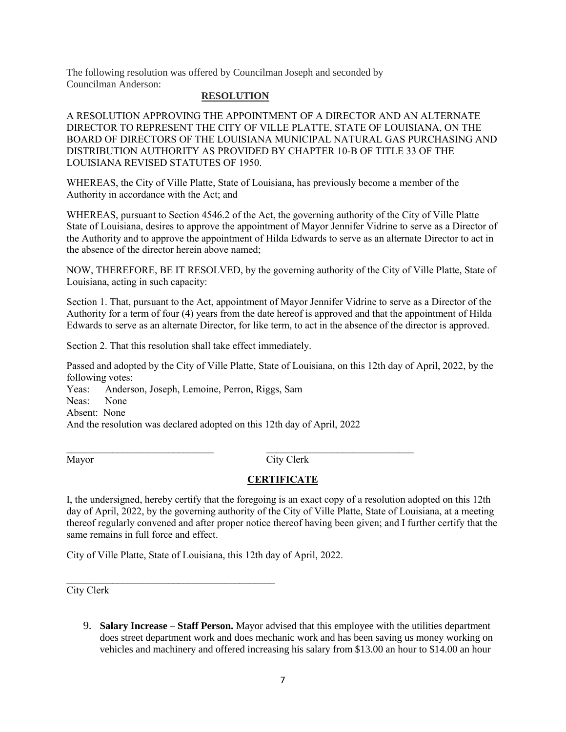The following resolution was offered by Councilman Joseph and seconded by Councilman Anderson:

### **RESOLUTION**

A RESOLUTION APPROVING THE APPOINTMENT OF A DIRECTOR AND AN ALTERNATE DIRECTOR TO REPRESENT THE CITY OF VILLE PLATTE, STATE OF LOUISIANA, ON THE BOARD OF DIRECTORS OF THE LOUISIANA MUNICIPAL NATURAL GAS PURCHASING AND DISTRIBUTION AUTHORITY AS PROVIDED BY CHAPTER 10-B OF TITLE 33 OF THE LOUISIANA REVISED STATUTES OF 1950.

WHEREAS, the City of Ville Platte, State of Louisiana, has previously become a member of the Authority in accordance with the Act; and

WHEREAS, pursuant to Section 4546.2 of the Act, the governing authority of the City of Ville Platte State of Louisiana, desires to approve the appointment of Mayor Jennifer Vidrine to serve as a Director of the Authority and to approve the appointment of Hilda Edwards to serve as an alternate Director to act in the absence of the director herein above named;

NOW, THEREFORE, BE IT RESOLVED, by the governing authority of the City of Ville Platte, State of Louisiana, acting in such capacity:

Section 1. That, pursuant to the Act, appointment of Mayor Jennifer Vidrine to serve as a Director of the Authority for a term of four (4) years from the date hereof is approved and that the appointment of Hilda Edwards to serve as an alternate Director, for like term, to act in the absence of the director is approved.

Section 2. That this resolution shall take effect immediately.

Passed and adopted by the City of Ville Platte, State of Louisiana, on this 12th day of April, 2022, by the following votes:

Yeas: Anderson, Joseph, Lemoine, Perron, Riggs, Sam Neas: None Absent: None And the resolution was declared adopted on this 12th day of April, 2022

 $\mathcal{L}_\text{max}$  , and the contract of the contract of the contract of the contract of the contract of the contract of Mayor City Clerk

# **CERTIFICATE**

I, the undersigned, hereby certify that the foregoing is an exact copy of a resolution adopted on this 12th day of April, 2022, by the governing authority of the City of Ville Platte, State of Louisiana, at a meeting thereof regularly convened and after proper notice thereof having been given; and I further certify that the same remains in full force and effect.

City of Ville Platte, State of Louisiana, this 12th day of April, 2022.

 $\mathcal{L}_\text{max}$  , where  $\mathcal{L}_\text{max}$  is the set of the set of the set of the set of the set of the set of the set of the set of the set of the set of the set of the set of the set of the set of the set of the set of the se

City Clerk

9. **Salary Increase – Staff Person.** Mayor advised that this employee with the utilities department does street department work and does mechanic work and has been saving us money working on vehicles and machinery and offered increasing his salary from \$13.00 an hour to \$14.00 an hour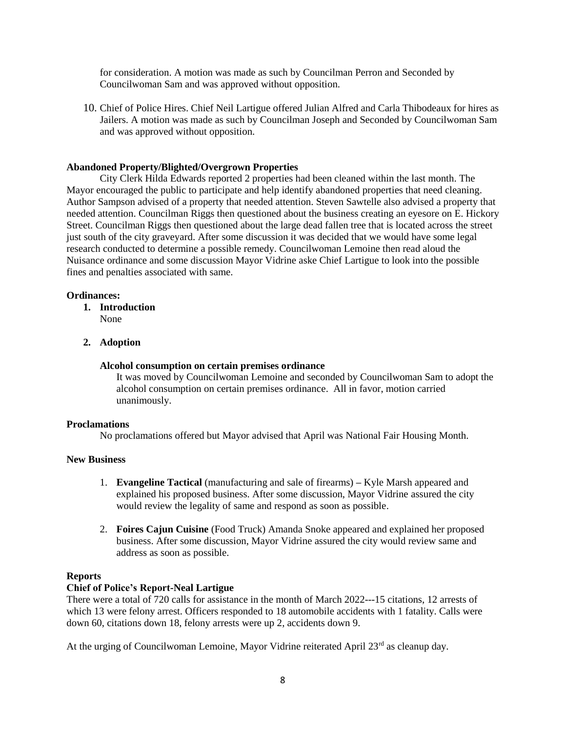for consideration. A motion was made as such by Councilman Perron and Seconded by Councilwoman Sam and was approved without opposition.

10. Chief of Police Hires. Chief Neil Lartigue offered Julian Alfred and Carla Thibodeaux for hires as Jailers. A motion was made as such by Councilman Joseph and Seconded by Councilwoman Sam and was approved without opposition.

# **Abandoned Property/Blighted/Overgrown Properties**

City Clerk Hilda Edwards reported 2 properties had been cleaned within the last month. The Mayor encouraged the public to participate and help identify abandoned properties that need cleaning. Author Sampson advised of a property that needed attention. Steven Sawtelle also advised a property that needed attention. Councilman Riggs then questioned about the business creating an eyesore on E. Hickory Street. Councilman Riggs then questioned about the large dead fallen tree that is located across the street just south of the city graveyard. After some discussion it was decided that we would have some legal research conducted to determine a possible remedy. Councilwoman Lemoine then read aloud the Nuisance ordinance and some discussion Mayor Vidrine aske Chief Lartigue to look into the possible fines and penalties associated with same.

# **Ordinances:**

- **1. Introduction**
	- None
- **2. Adoption**

# **Alcohol consumption on certain premises ordinance**

It was moved by Councilwoman Lemoine and seconded by Councilwoman Sam to adopt the alcohol consumption on certain premises ordinance. All in favor, motion carried unanimously.

# **Proclamations**

No proclamations offered but Mayor advised that April was National Fair Housing Month.

# **New Business**

- 1. **Evangeline Tactical** (manufacturing and sale of firearms) **–** Kyle Marsh appeared and explained his proposed business. After some discussion, Mayor Vidrine assured the city would review the legality of same and respond as soon as possible.
- 2. **Foires Cajun Cuisine** (Food Truck) Amanda Snoke appeared and explained her proposed business. After some discussion, Mayor Vidrine assured the city would review same and address as soon as possible.

# **Reports**

# **Chief of Police's Report-Neal Lartigue**

There were a total of 720 calls for assistance in the month of March 2022---15 citations, 12 arrests of which 13 were felony arrest. Officers responded to 18 automobile accidents with 1 fatality. Calls were down 60, citations down 18, felony arrests were up 2, accidents down 9.

At the urging of Councilwoman Lemoine, Mayor Vidrine reiterated April 23<sup>rd</sup> as cleanup day.